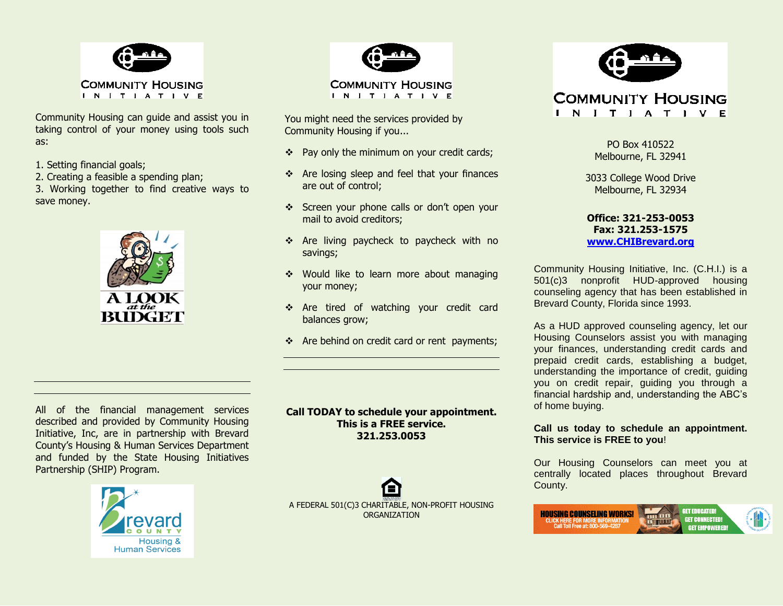

Community Housing can guide and assist you in taking control of your money using tools such as:

- 1. Setting financial goals;
- 2. Creating a feasible a spending plan;
- 3. Working together to find creative ways to save money.





You might need the services provided by Community Housing if you...

- $\div$  Pay only the minimum on your credit cards;
- Are losing sleep and feel that your finances are out of control;
- Screen your phone calls or don't open your mail to avoid creditors;
- \* Are living paycheck to paycheck with no savings;
- Would like to learn more about managing your money;
- \* Are tired of watching your credit card balances grow;
- Are behind on credit card or rent payments;

All of the financial management services described and provided by Community Housing Initiative, Inc, are in partnership with Brevard County's Housing & Human Services Department and funded by the State Housing Initiatives Partnership (SHIP) Program.



**Call TODAY to schedule your appointment. This is a FREE service. 321.253.0053**

A FEDERAL 501(C)3 CHARITABLE, NON-PROFIT HOUSING ORGANIZATION



**COMMUNITY HOUSING** IN IT I A T I V E

> PO Box 410522 Melbourne, FL 32941

3033 College Wood Drive Melbourne, FL 32934

**Office: 321-253-0053 Fax: 321.253-1575 [www.CHIBrevard.org](http://www.chibrevard.org/)**

Community Housing Initiative, Inc. (C.H.I.) is a 501(c)3 nonprofit HUD-approved housing counseling agency that has been established in Brevard County, Florida since 1993.

As a HUD approved counseling agency, let our Housing Counselors assist you with managing your finances, understanding credit cards and prepaid credit cards, establishing a budget, understanding the importance of credit, guiding you on credit repair, guiding you through a financial hardship and, understanding the ABC's of home buying.

**Call us today to schedule an appointment. This service is FREE to you**!

Our Housing Counselors can meet you at centrally located places throughout Brevard County.